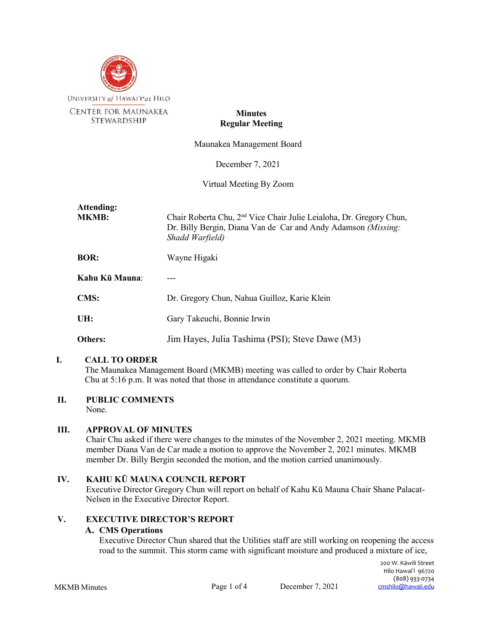

## **Minutes Regular Meeting**

Maunakea Management Board

December 7, 2021

Virtual Meeting By Zoom

| Attending:<br><b>MKMB:</b> | Chair Roberta Chu, 2 <sup>nd</sup> Vice Chair Julie Leialoha, Dr. Gregory Chun,<br>Dr. Billy Bergin, Diana Van de Car and Andy Adamson (Missing:<br>Shadd Warfield) |
|----------------------------|---------------------------------------------------------------------------------------------------------------------------------------------------------------------|
| <b>BOR:</b>                | Wayne Higaki                                                                                                                                                        |
| Kahu Kū Mauna:             |                                                                                                                                                                     |
| <b>CMS:</b>                | Dr. Gregory Chun, Nahua Guilloz, Karie Klein                                                                                                                        |
| UH:                        | Gary Takeuchi, Bonnie Irwin                                                                                                                                         |
| <b>Others:</b>             | Jim Hayes, Julia Tashima (PSI); Steve Dawe (M3)                                                                                                                     |

## **I. CALL TO ORDER**

The Maunakea Management Board (MKMB) meeting was called to order by Chair Roberta Chu at 5:16 p.m. It was noted that those in attendance constitute a quorum.

## **II. PUBLIC COMMENTS**

None.

## **III. APPROVAL OF MINUTES**

Chair Chu asked if there were changes to the minutes of the November 2, 2021 meeting. MKMB member Diana Van de Car made a motion to approve the November 2, 2021 minutes. MKMB member Dr. Billy Bergin seconded the motion, and the motion carried unanimously.

## **IV. KAHU KŪ MAUNA COUNCIL REPORT**

Executive Director Gregory Chun will report on behalf of Kahu Kū Mauna Chair Shane Palacat-Nelsen in the Executive Director Report.

# **V. EXECUTIVE DIRECTOR'S REPORT**

## **A. CMS Operations**

Executive Director Chun shared that the Utilities staff are still working on reopening the access road to the summit. This storm came with significant moisture and produced a mixture of ice,

MKMB Minutes Page 1 of 4 December 7, 2021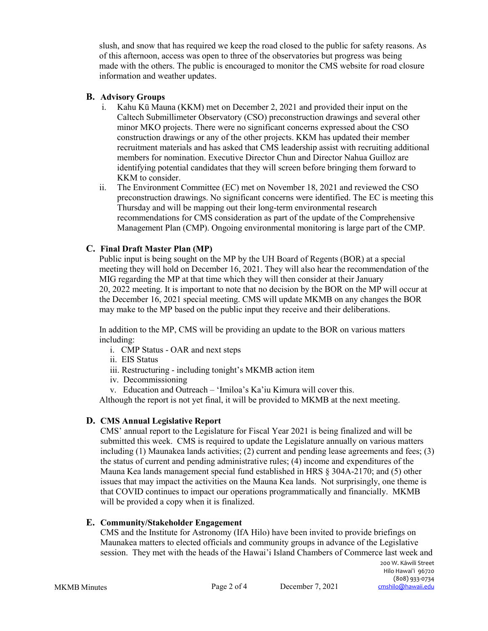slush, and snow that has required we keep the road closed to the public for safety reasons. As of this afternoon, access was open to three of the observatories but progress was being made with the others. The public is encouraged to monitor the CMS website for road closure information and weather updates.

## **B. Advisory Groups**

- i. Kahu Kū Mauna (KKM) met on December 2, 2021 and provided their input on the Caltech Submillimeter Observatory (CSO) preconstruction drawings and several other minor MKO projects. There were no significant concerns expressed about the CSO construction drawings or any of the other projects. KKM has updated their member recruitment materials and has asked that CMS leadership assist with recruiting additional members for nomination. Executive Director Chun and Director Nahua Guilloz are identifying potential candidates that they will screen before bringing them forward to KKM to consider.
- ii. The Environment Committee (EC) met on November 18, 2021 and reviewed the CSO preconstruction drawings. No significant concerns were identified. The EC is meeting this Thursday and will be mapping out their long-term environmental research recommendations for CMS consideration as part of the update of the Comprehensive Management Plan (CMP). Ongoing environmental monitoring is large part of the CMP.

# **C. Final Draft Master Plan (MP)**

Public input is being sought on the MP by the UH Board of Regents (BOR) at a special meeting they will hold on December 16, 2021. They will also hear the recommendation of the MIG regarding the MP at that time which they will then consider at their January 20, 2022 meeting. It is important to note that no decision by the BOR on the MP will occur at the December 16, 2021 special meeting. CMS will update MKMB on any changes the BOR may make to the MP based on the public input they receive and their deliberations.

In addition to the MP, CMS will be providing an update to the BOR on various matters including:

- i. CMP Status OAR and next steps
- ii. EIS Status
- iii. Restructuring including tonight's MKMB action item
- iv. Decommissioning
- v. Education and Outreach 'Imiloa's Ka'iu Kimura will cover this.

Although the report is not yet final, it will be provided to MKMB at the next meeting.

# **D. CMS Annual Legislative Report**

CMS' annual report to the Legislature for Fiscal Year 2021 is being finalized and will be submitted this week. CMS is required to update the Legislature annually on various matters including (1) Maunakea lands activities; (2) current and pending lease agreements and fees; (3) the status of current and pending administrative rules; (4) income and expenditures of the Mauna Kea lands management special fund established in HRS § 304A-2170; and (5) other issues that may impact the activities on the Mauna Kea lands. Not surprisingly, one theme is that COVID continues to impact our operations programmatically and financially. MKMB will be provided a copy when it is finalized.

## **E. Community/Stakeholder Engagement**

CMS and the Institute for Astronomy (IfA Hilo) have been invited to provide briefings on Maunakea matters to elected officials and community groups in advance of the Legislative session. They met with the heads of the Hawai'i Island Chambers of Commerce last week and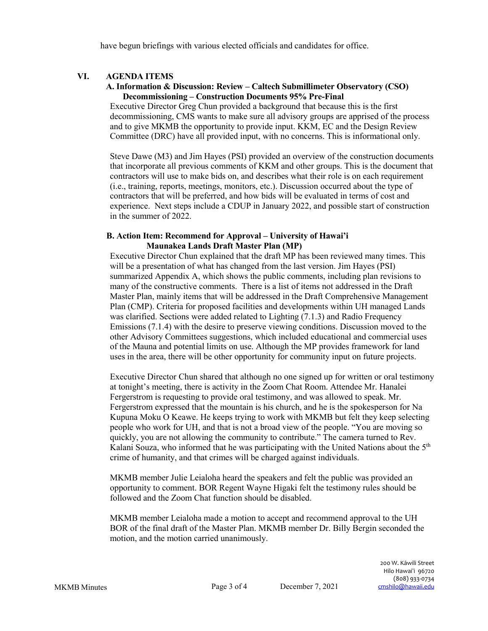have begun briefings with various elected officials and candidates for office.

## **VI. AGENDA ITEMS**

#### **A. Information & Discussion: Review – Caltech Submillimeter Observatory (CSO) Decommissioning – Construction Documents 95% Pre-Final**

Executive Director Greg Chun provided a background that because this is the first decommissioning, CMS wants to make sure all advisory groups are apprised of the process and to give MKMB the opportunity to provide input. KKM, EC and the Design Review Committee (DRC) have all provided input, with no concerns. This is informational only.

Steve Dawe (M3) and Jim Hayes (PSI) provided an overview of the construction documents that incorporate all previous comments of KKM and other groups. This is the document that contractors will use to make bids on, and describes what their role is on each requirement (i.e., training, reports, meetings, monitors, etc.). Discussion occurred about the type of contractors that will be preferred, and how bids will be evaluated in terms of cost and experience. Next steps include a CDUP in January 2022, and possible start of construction in the summer of 2022.

#### **B. Action Item: Recommend for Approval – University of Hawai'i Maunakea Lands Draft Master Plan (MP)**

Executive Director Chun explained that the draft MP has been reviewed many times. This will be a presentation of what has changed from the last version. Jim Hayes (PSI) summarized Appendix A, which shows the public comments, including plan revisions to many of the constructive comments. There is a list of items not addressed in the Draft Master Plan, mainly items that will be addressed in the Draft Comprehensive Management Plan (CMP). Criteria for proposed facilities and developments within UH managed Lands was clarified. Sections were added related to Lighting (7.1.3) and Radio Frequency Emissions (7.1.4) with the desire to preserve viewing conditions. Discussion moved to the other Advisory Committees suggestions, which included educational and commercial uses of the Mauna and potential limits on use. Although the MP provides framework for land uses in the area, there will be other opportunity for community input on future projects.

Executive Director Chun shared that although no one signed up for written or oral testimony at tonight's meeting, there is activity in the Zoom Chat Room. Attendee Mr. Hanalei Fergerstrom is requesting to provide oral testimony, and was allowed to speak. Mr. Fergerstrom expressed that the mountain is his church, and he is the spokesperson for Na Kupuna Moku O Keawe. He keeps trying to work with MKMB but felt they keep selecting people who work for UH, and that is not a broad view of the people. "You are moving so quickly, you are not allowing the community to contribute." The camera turned to Rev. Kalani Souza, who informed that he was participating with the United Nations about the 5th crime of humanity, and that crimes will be charged against individuals.

MKMB member Julie Leialoha heard the speakers and felt the public was provided an opportunity to comment. BOR Regent Wayne Higaki felt the testimony rules should be followed and the Zoom Chat function should be disabled.

MKMB member Leialoha made a motion to accept and recommend approval to the UH BOR of the final draft of the Master Plan. MKMB member Dr. Billy Bergin seconded the motion, and the motion carried unanimously.